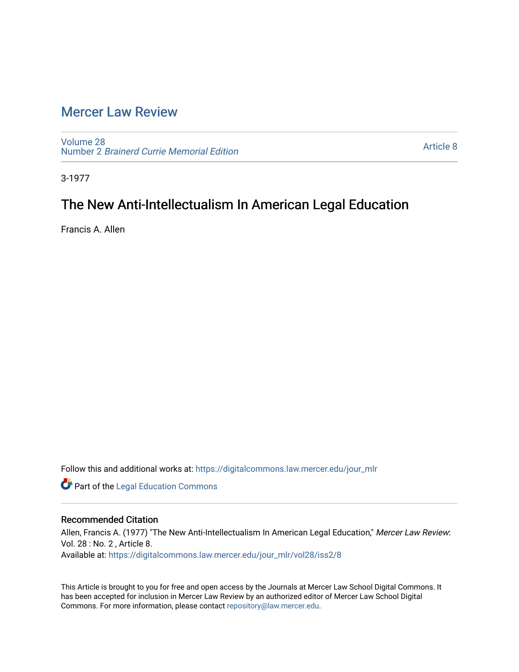## [Mercer Law Review](https://digitalcommons.law.mercer.edu/jour_mlr)

[Volume 28](https://digitalcommons.law.mercer.edu/jour_mlr/vol28) Number 2 [Brainerd Currie Memorial Edition](https://digitalcommons.law.mercer.edu/jour_mlr/vol28/iss2) 

[Article 8](https://digitalcommons.law.mercer.edu/jour_mlr/vol28/iss2/8) 

3-1977

# The New Anti-Intellectualism In American Legal Education

Francis A. Allen

Follow this and additional works at: [https://digitalcommons.law.mercer.edu/jour\\_mlr](https://digitalcommons.law.mercer.edu/jour_mlr?utm_source=digitalcommons.law.mercer.edu%2Fjour_mlr%2Fvol28%2Fiss2%2F8&utm_medium=PDF&utm_campaign=PDFCoverPages)

**Part of the Legal Education Commons** 

### Recommended Citation

Allen, Francis A. (1977) "The New Anti-Intellectualism In American Legal Education," Mercer Law Review: Vol. 28 : No. 2 , Article 8. Available at: [https://digitalcommons.law.mercer.edu/jour\\_mlr/vol28/iss2/8](https://digitalcommons.law.mercer.edu/jour_mlr/vol28/iss2/8?utm_source=digitalcommons.law.mercer.edu%2Fjour_mlr%2Fvol28%2Fiss2%2F8&utm_medium=PDF&utm_campaign=PDFCoverPages)

This Article is brought to you for free and open access by the Journals at Mercer Law School Digital Commons. It has been accepted for inclusion in Mercer Law Review by an authorized editor of Mercer Law School Digital Commons. For more information, please contact [repository@law.mercer.edu.](mailto:repository@law.mercer.edu)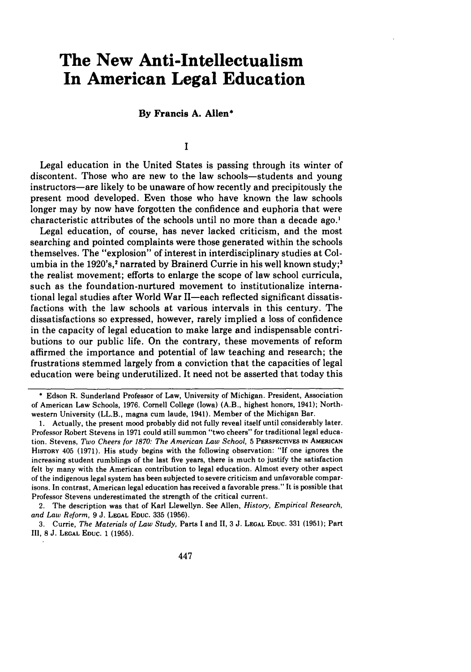# **The New Anti-Intellectualism In American Legal Education**

#### **By Francis A. Allen\***

**I**

Legal education in **the** United States is passing through its winter of discontent. Those who are new to the law schools-students and young instructors—are likely to be unaware of how recently and precipitously the present mood developed. Even those who have known the law schools longer may **by** now have forgotten the confidence and euphoria that were characteristic attributes of the schools until no more than a decade ago.<sup>1</sup>

Legal education, of course, has never lacked criticism, and the most searching and pointed complaints were those generated within the schools themselves. The "explosion" of interest in interdisciplinary studies at Columbia in the 1920's,<sup>2</sup> narrated by Brainerd Currie in his well known study;<sup>3</sup> the realist movement; efforts to enlarge the scope of law school curricula, such as the foundation-nurtured movement to institutionalize international legal studies after World War II-each reflected significant dissatisfactions with the law schools at various intervals in this century. The dissatisfactions so expressed, however, rarely implied a loss of confidence in the capacity of legal education to make large and indispensable contributions to our public life. On the contrary, these movements of reform affirmed the importance and potential of law teaching and research; the frustrations stemmed largely from a conviction that the capacities of legal education were being underutilized. It need not be asserted that today this

**\*** Edson R. Sunderland Professor of Law, University of Michigan. President, Association of American Law Schools, **1976.** Cornell College (Iowa) (A.B., highest honors, 1941); Northwestern University (LL.B., magna cum laude, 1941). Member of the Michigan Bar.

**1.** Actually, the present mood probably did not fully reveal itself until considerably later. Professor Robert Stevens in **1971** could still summon "two cheers" for traditional legal education. Stevens, *Two Cheers for 1870: The American Law School,* **5** PERSPECTIVES **IN AMERICAN HISTORY** 405 **(1971).** His study begins with the following observation: **"If** one ignores the increasing student rumblings of the last five years, there is much to justify the satisfaction felt **by** many with the American contribution to legal education. Almost every other aspect of the indigenous legal system has been subjected to severe criticism and unfavorable comparisons. In contrast, American legal education has received a favorable press." It is possible that Professor Stevens underestimated the strength of the critical current.

2. The description was that of Karl Llewellyn. See Allen, *History, Empirical Research, and Law Reform,* **9 J. LEGAL EDUC. 335 (1956).**

**3.** Currie, *The Materials of Law Study,* Parts **I** and **11,** 3 **J. LEGAL EDUC. 331 (1951);** Part **II, 8 J. LEGAL EDUC.** 1 **(1955).**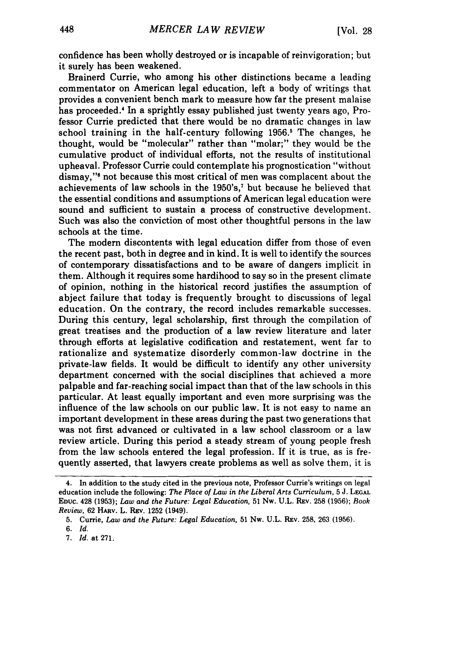confidence has been wholly destroyed or is incapable of reinvigoration; but it surely has been weakened.

Brainerd Currie, who among his other distinctions became a leading commentator on American legal education, left a body of writings that provides a convenient bench mark to measure how far the present malaise has proceeded.<sup>4</sup> In a sprightly essay published just twenty years ago, Professor Currie predicted that there would be no dramatic changes in law school training in the half-century following 1956.<sup>5</sup> The changes, he thought, would be "molecular" rather than "molar;" they would be the cumulative product of individual efforts, not the results of institutional upheaval. Professor Currie could contemplate his prognostication "without dismay,"'6 not because this most critical of men was complacent about the achievements of law schools in the 1950's,<sup>7</sup> but because he believed that the essential conditions and assumptions of American legal education were sound and sufficient to sustain a process of constructive development. Such was also the conviction of most other thoughtful persons in the law schools at the time.

The modem discontents with legal education differ from those of even the recent past, both in degree and in kind. It is well to identify the sources of contemporary dissatisfactions and to be aware of dangers implicit in them. Although it requires some hardihood to say so in the present climate of opinion, nothing in the historical record justifies the assumption of abject failure that today is frequently brought to discussions of legal education. On the contrary, the record includes remarkable successes. During this century, legal scholarship, first through the compilation of great treatises and the production of a law review literature and later through efforts at legislative codification and restatement, went far to rationalize and systematize disorderly common-law doctrine in the private-law fields. It would be difficult to identify any other university department concerned with the social disciplines that achieved a more palpable and far-reaching social impact than that of the law schools in this particular. At least equally important and even more surprising was the influence of the law schools on our public law. It is not easy to name an important development in these areas during the past two generations that was not first advanced or cultivated in a law school classroom or a law review article. During this period a steady stream of young people fresh from the law schools entered the legal profession. If it is true, as is frequently asserted, that lawyers create problems as well as solve them, it is

<sup>4.</sup> In addition to the study cited in the previous note, Professor Currie's writings on legal education include the following: *The Place of Law in the Liberal Arts Curriculum,* **5** J. **LEGAL EDUC.** 428 **(1953);** *Law and the Future: Legal Education,* **51** Nw. U.L. REv. **258 (1956);** *Book Review,* **62** HARv. L. Rzv. **1252** (1949).

**<sup>5.</sup>** Currie, *Law and the Future: Legal Education,* **51** Nw. U.L. REv. **258, 263 (1956).**

*<sup>6.</sup> Id.*

**<sup>7.</sup> Id.** at **271.**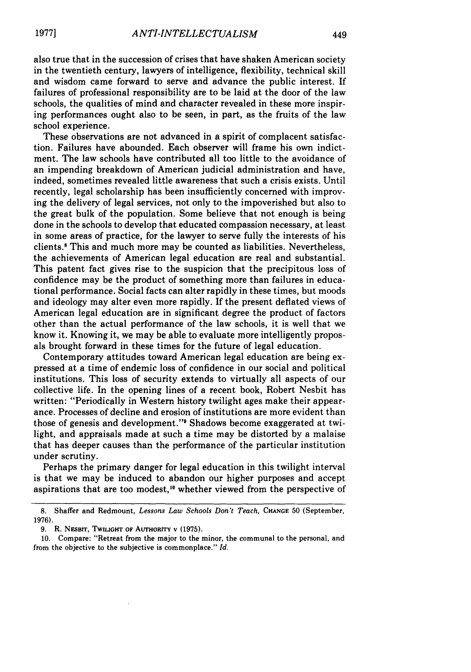also true that in the succession of crises that have shaken American society in the twentieth century, lawyers of intelligence, flexibility, technical skill and wisdom came forward to serve and advance the public interest. If failures of professional responsibility are to be laid at the door of the law schools, the qualities of mind and character revealed in these more inspiring performances ought also to be seen, in part, as the fruits of the law school experience.

These observations are not advanced in a spirit of complacent satisfaction. Failures have abounded. Each observer will frame his own indictment. The law schools have contributed all too little to the avoidance of an impending breakdown of American judicial administration and have, indeed, sometimes revealed little awareness that such a crisis exists. Until recently, legal scholarship has been insufficiently concerned with improving the delivery of legal services, not only to the impoverished but also to the great bulk of the population. Some believe that not enough is being done in the schools to develop that educated compassion necessary, at least in some areas of practice, for the lawyer to serve fully the interests of his clients.8 This and much more may be counted as liabilities. Nevertheless, the achievements of American legal education are real and substantial. This patent fact gives rise to the suspicion that the precipitous loss of confidence may be the product of something more than failures in educational performance. Social facts can alter rapidly in these times, but moods and ideology may alter even more rapidly. If the present deflated views of American legal education are in significant degree the product of factors other than the actual performance of the law schools, it is well that we know it. Knowing it, we may be able to evaluate more intelligently proposals brought forward in these times for the future of legal education.

Contemporary attitudes toward American legal education are being expressed at a time of endemic loss of confidence in our social and political institutions. This loss of security extends to virtually all aspects of our collective life. In the opening lines of a recent book, Robert Nesbit has written: "Periodically in Western history twilight ages make their appearance. Processes of decline and erosion of institutions are more evident than those of genesis and development."' Shadows become exaggerated at twilight, and appraisals made at such a time may be distorted by a malaise that has deeper causes than the performance of the particular institution under scrutiny.

Perhaps the primary danger for legal education in this twilight interval is that we may be induced to abandon our higher purposes and accept aspirations that are too modest,<sup>10</sup> whether viewed from the perspective of

<sup>8.</sup> Shaffer and Redmount, Lessons Law Schools Don't Teach, CHANGE 50 (September, 1976).

**<sup>9.</sup>** R. NESBrr, **TWILIGHT OF AUTHORITY v (1975).**

<sup>10.</sup> Compare: "Retreat from the major to the minor, the communal to the personal, and from the objective to the subjective is commonplace." *Id.*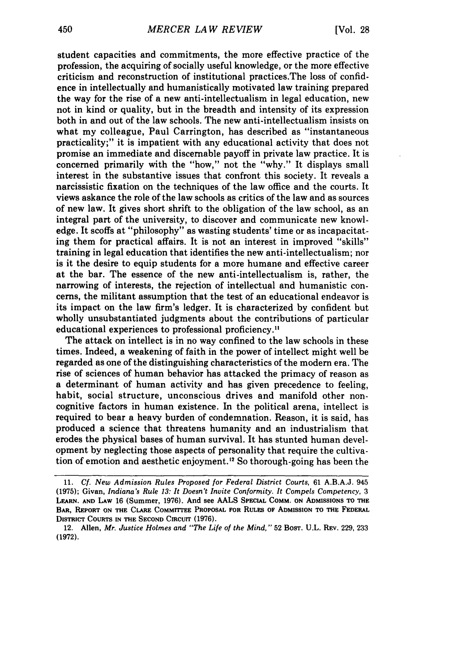student capacities and commitments, the more effective practice of the profession, the acquiring of socially useful knowledge, or the more effective criticism and reconstruction of institutional practices.The loss of confidence in intellectually and humanistically motivated law training prepared the way for the rise of a new anti-intellectualism in legal education, new not in kind or quality, but in the breadth and intensity of its expression both in and out of the law schools. The new anti-intellectualism insists on what my colleague, Paul Carrington, has described as "instantaneous practicality;" it is impatient with any educational activity that does not promise an immediate and discernable payoff in private law practice. It is concerned primarily with the "how," not the "why." It displays small interest in the substantive issues that confront this society. It reveals a narcissistic fixation on the techniques of the law office and the courts. It views askance the role of the law schools as critics of the law and as sources of new law. It gives short shrift to the obligation of the law school, as an integral part of the university, to discover and communicate new knowledge. It scoffs at "philosophy" as wasting students' time or as incapacitating them for practical affairs. It is not an interest in improved "skills" training in legal education that identifies the new anti-intellectualism; nor is it the desire to equip students for a more humane and effective career at the bar. The essence of the new anti-intellectualism is, rather, the narrowing of interests, the rejection of intellectual and humanistic concerns, the militant assumption that the test of an educational endeavor is its impact on the law firm's ledger. It is characterized by confident but wholly unsubstantiated judgments about the contributions of particular educational experiences to professional proficiency."

The attack on intellect is in no way confined to the law schools in these times. Indeed, a weakening of faith in the power of intellect might well be regarded as one of the distinguishing characteristics of the modern era. The rise of sciences of human behavior has attacked the primacy of reason as a determinant of human activity and has given precedence to feeling, habit, social structure, unconscious drives and manifold other noncognitive factors in human existence. In the political arena, intellect is required to bear a heavy burden of condemnation. Reason, it is said, has produced a science that threatens humanity and an industrialism that erodes the physical bases of human survival. It has stunted human development by neglecting those aspects of personality that require the cultivation of emotion and aesthetic enjoyment." So thorough-going has been the

12. Allen, *Mr. Justice Holmes and "The Life of the Mind,"* **52** BOST. **U.L. REV. 229, 233 (1972).**

<sup>11.</sup> *Cf. New Admission Rules Proposed for Federal District Courts,* 61 A.B.A.J. 945 **(1975);** Givan, *Indiana's Rule 13: It Doesn't Invite Conformity. It Compels Competency,* **3** LEARN. **AND LAW** 16 (Summer, 1976). **And** see **AALS SPECIAL COMM. ON** ADMISSIONS **TO THE** BAR, **REPORT ON THE CLARE COMMITTEE PROPOSAL FOR RuLEs OF ADMISSION TO THE FEDERAL DISTRICT COURTS IN THE SECOND CIRCUIT (1976).**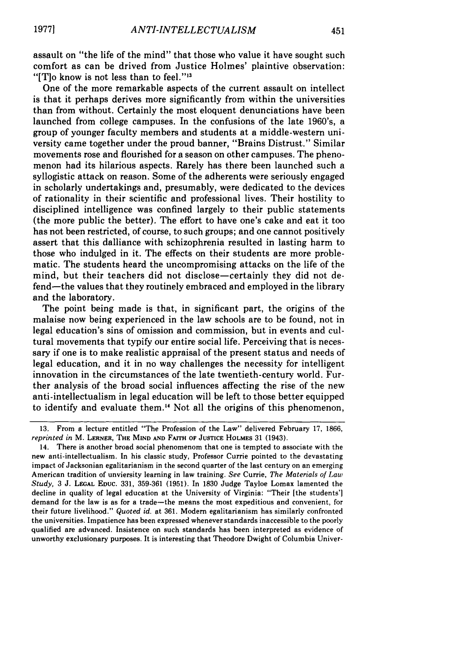assault on "the life of the mind" that those who value it have sought such comfort as can be drived from Justice Holmes' plaintive observation: "[T] $\sigma$  know is not less than to feel." $^{13}$ 

One of the more remarkable aspects of the current assault on intellect is that it perhaps derives more significantly from within the universities than from without. Certainly the most eloquent denunciations have been launched from college campuses. In the confusions of the late 1960's, a group of younger faculty members and students at a middle-western university came together under the proud banner, "Brains Distrust." Similar movements rose and flourished for a season on other campuses. The phenomenon had its hilarious aspects. Rarely has there been launched such a syllogistic attack on reason. Some of the adherents were seriously engaged in scholarly undertakings and, presumably, were dedicated to the devices of rationality in their scientific and professional lives. Their hostility to disciplined intelligence was confined largely to their public statements (the more public the better). The effort to have one's cake and eat it too has not been restricted, of course, to such groups; and one cannot positively assert that this dalliance with schizophrenia resulted in lasting harm to those who indulged in it. The effects on their students are more problematic. The students heard the uncompromising attacks on the life of the mind, but their teachers did not disclose—certainly they did not defend-the values that they routinely embraced and employed in the library and the laboratory.

The point being made is that, in significant part, the origins of the malaise now being experienced in the law schools are to be found, not in legal education's sins of omission and commission, but in events and cultural movements that typify our entire social life. Perceiving that is necessary if one is to make realistic appraisal of the present status and needs of legal education, and it in no way challenges the necessity for intelligent innovation in the circumstances of the late twentieth-century world. Further analysis of the broad social influences affecting the rise of the new anti-intellectualism in legal education will be left to those better equipped to identify and evaluate them. 4 Not all the origins of this phenomenon,

<sup>13.</sup> From a lecture entitled "The Profession of the Law" delivered February 17, 1866, *reprinted in* M. **LERNER, THE MIND AND FAITH OF JUSTICE** HOLMES 31 (1943).

<sup>14.</sup> There is another broad social phenomenom that one is tempted to associate with the new anti-intellectualism. In his classic study, Professor Currie pointed to the devastating impact of Jacksonian egalitarianism in the second quarter of the last century on an emerging American tradition of unviersity learning in law training. *See* Currie, *The Materials of* **Law** *Study,* 3 **J. LEGAL EDUC.** 331, **359-361** (1951). In 1830 Judge Tayloe Lomax lamented the decline in quality of legal education at the University of Virginia: "Their [the students'] demand for the law is as for a trade-the means the most expeditious and convenient, for their future livelihood." *Quoted id.* at 361. Modem egalitarianism has similarly confronted the universities. Impatience has been expressed whenever standards inaccessible to the poorly qualified are advanced. Insistence on such standards has been interpreted as evidence of unworthy exclusionary purposes. It is interesting that Theodore Dwight of Columbia Univer-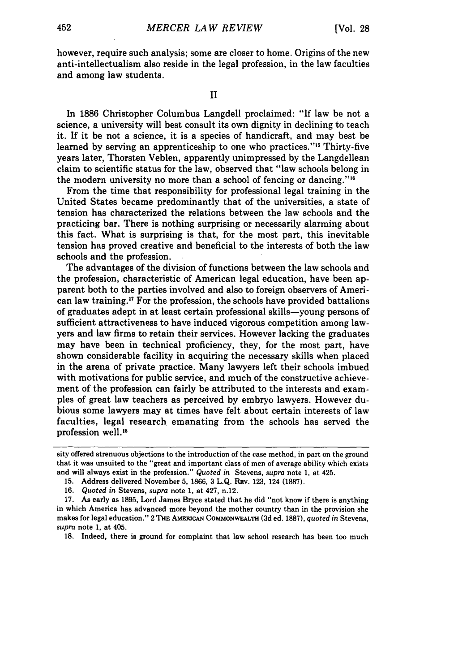however, require such analysis; some are closer to home. Origins of the new anti-intellectualism also reside in the legal profession, in the law faculties and among law students.

II

In 1886 Christopher Columbus Langdell proclaimed: "If law be not a science, a university will best consult its own dignity in declining to teach it. If it be not a science, it is a species of handicraft, and may best be learned by serving an apprenticeship to one who practices."<sup>15</sup> Thirty-five years later, Thorsten Veblen, apparently unimpressed by the Langdellean claim to scientific status for the law, observed that "law schools belong in the modern university no more than a school of fencing or dancing."<sup>16</sup>

From the time that responsibility for professional legal training in the United States became predominantly that of the universities, a state of tension has characterized the relations between the law schools and the practicing bar. There is nothing surprising or necessarily alarming about this fact. What is surprising is that, for the most part, this inevitable tension has proved creative and beneficial to the interests of both the law schools and the profession.

The advantages of the division of functions between the law schools and the profession, characteristic of American legal education, have been apparent both to the parties involved and also to foreign observers of American law training.<sup>17</sup> For the profession, the schools have provided battalions of graduates adept in at least certain professional skills-young persons of sufficient attractiveness to have induced vigorous competition among lawyers and law firms to retain their services. However lacking the graduates may have been in technical proficiency, they, for the most part, have shown considerable facility in acquiring the necessary skills when placed in the arena of private practice. Many lawyers left their schools imbued with motivations for public service, and much of the constructive achievement of the profession can fairly be attributed to the interests and examples of great law teachers as perceived by embryo lawyers. However dubious some lawyers may at times have felt about certain interests of law faculties, legal research emanating from the schools has served the profession well.<sup>18</sup>

18. Indeed, there is ground for complaint that law school research has been too much

sity offered strenuous objections to the introduction of the case method, in part on the ground that it was unsuited to the "great and important class of men of average ability which exists and will always exist in the profession." *Quoted in* Stevens, *supra* note 1, at 425.

<sup>15.</sup> Address delivered November 5, 1866, 3 L.Q. REv. 123, 124 (1887).

<sup>16.</sup> *Quoted in* Stevens, *supra* note 1, at 427, n.12.

<sup>17.</sup> As early as 1895, Lord James Bryce stated that he did "not know if there is anything in which America has advanced more beyond the mother country than in the provision she makes for legal education." 2 **THE** AmRucAN COMMONWEALTH **(3d** ed. **1887),** *quoted in* Stevens, *supra* note 1, at 405.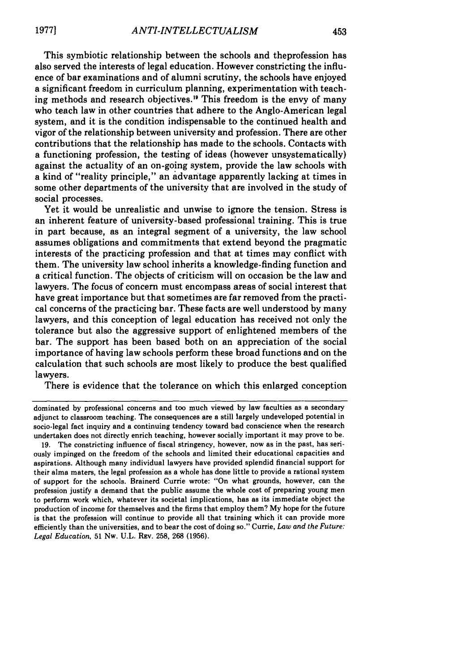This symbiotic relationship between the schools and theprofession has also served the interests of legal education. However constricting the influence of bar examinations and of alumni scrutiny, the schools have enjoyed a significant freedom in curriculum planning, experimentation with teaching methods and research objectives." This freedom is the envy of many who teach law in other countries that adhere to the Anglo-American legal system, and it is the condition indispensable to the continued health and vigor of the relationship between university and profession. There are other contributions that the relationship has made to the schools. Contacts with a functioning profession, the testing of ideas (however unsystematically) against the actuality of an on-going system, provide the law schools with a kind of "reality principle," an advantage apparently lacking at times in some other departments of the university that are involved in the study of social processes.

Yet it would be unrealistic and unwise to ignore the tension. Stress is an inherent feature of university-based professional training. This is true in part because, as an integral segment of a university, the law school assumes obligations and commitments that extend beyond the pragmatic interests of the practicing profession and that at times may conflict with them. The university law school inherits a knowledge-finding function and a critical function. The objects of criticism will on occasion be the law and lawyers. The focus of concern must encompass areas of social interest that have great importance but that sometimes are far removed from the practical concerns of the practicing bar. These facts are well understood by many lawyers, and this conception of legal education has received not only the tolerance but also the aggressive support of enlightened members of the bar. The support has been based both on an appreciation of the social importance of having law schools perform these broad functions and on the calculation that such schools are most likely to produce the best qualified lawyers.

There is evidence that the tolerance on which this enlarged conception

dominated by professional concerns and too much viewed by law faculties as a secondary adjunct to classroom teaching. The consequences are a still largely undeveloped potential in socio-legal fact inquiry and a continuing tendency toward bad conscience when the research undertaken does not directly enrich teaching, however socially important it may prove to be.

19. The constricting influence of fiscal stringency, however, now as in the past, has seriously impinged on the freedom of the schools and limited their educational capacities and aspirations. Although many individual lawyers have provided splendid financial support for their alma maters, the legal profession as a whole has done little to provide a rational system of support for the schools. Brainerd Currie wrote: "On what grounds, however, can the profession justify a demand that the public assume the whole cost of preparing young men to perform work which, whatever its societal implications, has as its immediate object the production of income for themselves and the firms that employ them? My hope for the future is that the profession will continue to provide all that training which it can provide more efficiently than the universities, and to bear the cost of doing so." Currie, *Law and the Future: Legal Education,* 51 Nw. U.L. REV. 258, 268 (1956).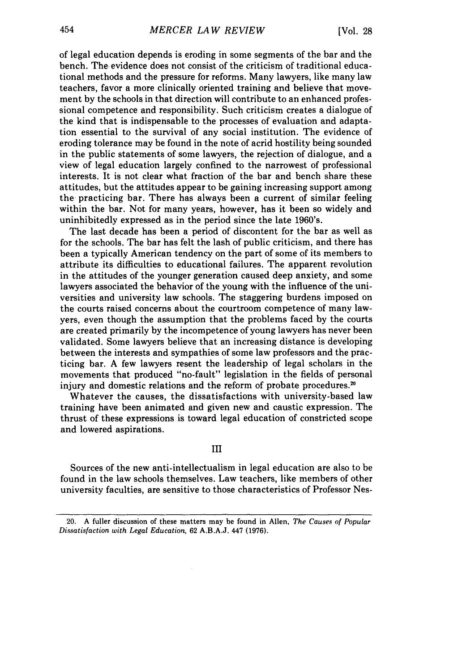of legal education depends is eroding in some segments of the bar and the bench. The evidence does not consist of the criticism of traditional educational methods and the pressure for reforms. Many lawyers, like many law teachers, favor a more clinically oriented training and believe that movement by the schools in that direction will contribute to an enhanced professional competence and responsibility. Such criticism creates a dialogue of the kind that is indispensable to the processes of evaluation and adaptation essential to the survival of any social institution. The evidence of eroding tolerance may be found in the note of acrid hostility being sounded in the public statements of some lawyers, the rejection of dialogue, and a view of legal education largely confined to the narrowest of professional interests. It is not clear what fraction of the bar and bench share these attitudes, but the attitudes appear to be gaining increasing support among the practicing bar. There has always been a current of similar feeling within the bar. Not for many years, however, has it been so widely and uninhibitedly expressed as in the period since the late 1960's.

The last decade has been a period of discontent for the bar as well as for the schools. The bar has felt the lash of public criticism, and there has been a typically American tendency on the part of some of its members to attribute its difficulties to educational failures. The apparent revolution in the attitudes of the younger generation caused deep anxiety, and some lawyers associated the behavior of the young with the influence of the universities and university law schools. The staggering burdens imposed on the courts raised concerns about the courtroom competence of many lawyers, even though the assumption that the problems faced by the courts are created primarily by the incompetence of young lawyers has never been validated. Some lawyers believe that an increasing distance is developing between the interests and sympathies of some law professors and the practicing bar. A few lawyers resent the leadership of legal scholars in the movements that produced "no-fault" legislation in the fields of personal injury and domestic relations and the reform of probate procedures.<sup>20</sup>

Whatever the causes, the dissatisfactions with university-based law training have been animated and given new and caustic expression. The thrust of these expressions is toward legal education of constricted scope and lowered aspirations.

**III**

Sources of the new anti-intellectualism in legal education are also to be found in the law schools themselves. Law teachers, like members of other university faculties, are sensitive to those characteristics of Professor Nes-

<sup>20.</sup> A fuller discussion of these matters may be found in Allen, The Causes *of Popular Dissatisfaction with Legal Education,* 62 A.B.A.J. 447 (1976).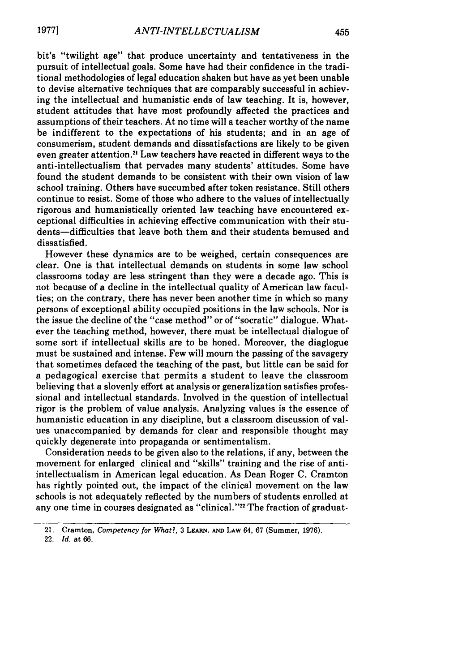bit's "twilight age" that produce uncertainty and tentativeness in the pursuit of intellectual goals. Some have had their confidence in the traditional methodologies of legal education shaken but have as yet been unable to devise alternative techniques that are comparably successful in achieving the intellectual and humanistic ends of law teaching. It is, however, student attitudes that have most profoundly affected the practices and assumptions of their teachers. At no time will a teacher worthy of the name be indifferent to the expectations of his students; and in an age of consumerism, student demands and dissatisfactions are likely to be given even greater attention."' Law teachers have reacted in different ways to the anti-intellectualism that pervades many students' attitudes. Some have found the student demands to be consistent with their own vision of law school training. Others have succumbed after token resistance. Still others continue to resist. Some of those who adhere to the values of intellectually rigorous and humanistically oriented law teaching have encountered exceptional difficulties in achieving effective communication with their students-difficulties that leave both them and their students bemused and dissatisfied.

However these dynamics are to be weighed, certain consequences are clear. One is that intellectual demands on students in some law school classrooms today are less stringent than they were a decade ago. This is not because of a decline in the intellectual quality of American law faculties; on the contrary, there has never been another time in which so many persons of exceptional ability occupied positions in the law schools. Nor is the issue the decline of the "case method" or of "socratic" dialogue. Whatever the teaching method, however, there must be intellectual dialogue of some sort if intellectual skills are to be honed. Moreover, the diaglogue must be sustained and intense. Few will **mourn** the passing of the savagery that sometimes defaced the teaching of the past, but little can be said for a pedagogical exercise that permits a student to leave the classroom believing that a slovenly effort at analysis or generalization satisfies professional and intellectual standards. Involved in the question of intellectual rigor is the problem of value analysis. Analyzing values is the essence of humanistic education in any discipline, but a classroom discussion of values unaccompanied **by** demands for clear and responsible thought may quickly degenerate into propaganda or sentimentalism.

Consideration needs to be given also to the relations, if any, between the movement for enlarged clinical and "skills" training and the rise of antiintellectualism in American legal education. As Dean Roger **C.** Cramton has rightly pointed out, the impact of the clinical movement on the law schools is not adequately reflected **by** the numbers of students enrolled at any one time in courses designated as "clinical."<sup>22</sup> The fraction of graduat-

22. *Id.* at 66.

<sup>21.</sup> Cramton, *Competency* for *What?,* 3 LEARN. **AND** LAw 64, **67** (Summer, **1976).**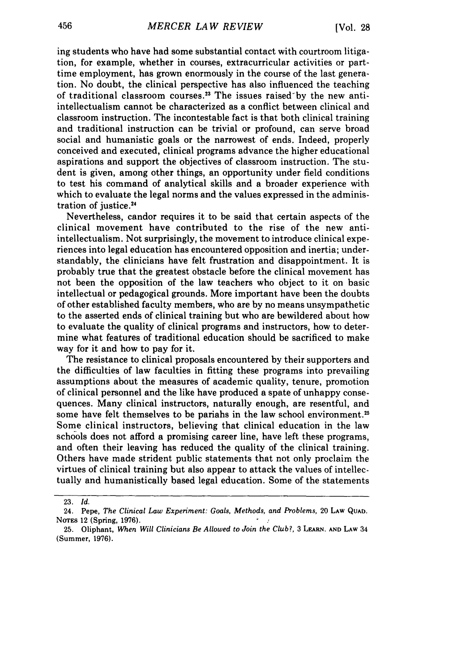ing students who have had some substantial contact with courtroom litigation, for example, whether in courses, extracurricular activities or parttime employment, has grown enormously in the course of the last generation. No doubt, the clinical perspective has also influenced the teaching of traditional classroom courses.<sup>23</sup> The issues raised by the new antiintellectualism cannot be characterized as a conflict between clinical and classroom instruction. The incontestable fact is that both clinical training and traditional instruction can be trivial or profound, can serve broad social and humanistic goals or the narrowest of ends. Indeed, properly conceived and executed, clinical programs advance the higher educational aspirations and support the objectives of classroom instruction. The student is given, among other things, an opportunity under field conditions to test his command of analytical skills and a broader experience with which to evaluate the legal norms and the values expressed in the administration of justice.<sup>24</sup>

Nevertheless, candor requires it to be said that certain aspects of the clinical movement have contributed to the rise of the new antiintellectualism. Not surprisingly, the movement to introduce clinical experiences into legal education has encountered opposition and inertia; understandably, the clinicians have felt frustration and disappointment. It is probably true that the greatest obstacle before the clinical movement has not been the opposition of the law teachers who object to it on basic intellectual or pedagogical grounds. More important have been the doubts of other established faculty members, who are by no means unsympathetic to the asserted ends of clinical training but who are bewildered about how to evaluate the quality of clinical programs and instructors, how to determine what features of traditional education should be sacrificed to make way for it and how to pay for it.

The resistance to clinical proposals encountered by their supporters and the difficulties of law faculties in fitting these programs into prevailing assumptions about the measures of academic quality, tenure, promotion of clinical personnel and the like have produced a spate of unhappy consequences. Many clinical instructors, naturally enough, are resentful, and some have felt themselves to be pariahs in the law school environment.<sup>25</sup> Some clinical instructors, believing that clinical education in the law schools does not afford a promising career line, have left these programs, and often their leaving has reduced the quality of the clinical training. Others have made strident public statements that not only proclaim the virtues of clinical training but also appear to attack the values of intellectually and humanistically based legal education. Some of the statements

<sup>23.</sup> *Id.*

<sup>24.</sup> Pepe, *The Clinical Law Experiment: Goals, Methods, and Problems,* 20 **LAW QUAD.** NOTES 12 (Spring, **1976).**

**<sup>25.</sup>** Oliphant, *When Will Clinicians Be Allowed to Join the Club?,* **<sup>3</sup>**LEARN. **AND LAW** <sup>34</sup> (Summer, **1976).**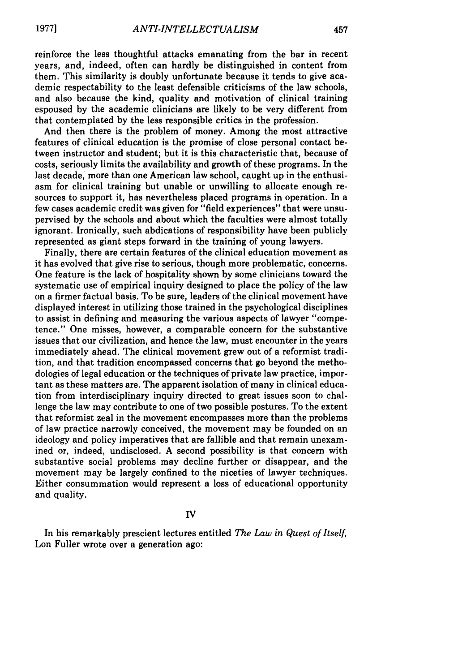reinforce the less thoughtful attacks emanating from the bar in recent years, and, indeed, often can hardly be distinguished in content from them. This similarity is doubly unfortunate because it tends to give academic respectability to the least defensible criticisms of the law schools, and also because the kind, quality and motivation of clinical training espoused by the academic clinicians are likely to be very different from that contemplated by the less responsible critics in the profession.

And then there is the problem of money. Among the most attractive features of clinical education is the promise of close personal contact between instructor and student; but it is this characteristic that, because of costs, seriously limits the availability and growth of these programs. In the last decade, more than one American law school, caught up in the enthusiasm for clinical training but unable or unwilling to allocate enough resources to support it, has nevertheless placed programs in operation. In a few cases academic credit was given for "field experiences" that were unsupervised by the schools and about which the faculties were almost totally ignorant. Ironically, such abdications of responsibility have been publicly represented as giant steps forward in the training of young lawyers.

Finally, there are certain features of the clinical education movement as it has evolved that give rise to serious, though more problematic, concerns. One feature is the lack of hospitality shown by some clinicians toward the systematic use of empirical inquiry designed to place the policy of the law on a firmer factual basis. To be sure, leaders of the clinical movement have displayed interest in utilizing those trained in the psychological disciplines to assist in defining and measuring the various aspects of lawyer "competence." One misses, however, a comparable concern for the substantive issues that our civilization, and hence the law, must encounter in the years immediately ahead. The clinical movement grew out of a reformist tradition, and that tradition encompassed concerns that go beyond the methodologies of legal education or the techniques of private law practice, important as these matters are. The apparent isolation of many in clinical education from interdisciplinary inquiry directed to great issues soon to challenge the law may contribute to one of two possible postures. To the extent that reformist zeal in the movement encompasses more than the problems of law practice narrowly conceived, the movement may be founded on an ideology and policy imperatives that are fallible and that remain unexamined or, indeed, undisclosed. A second possibility is that concern with substantive social problems may decline further or disappear, and the movement may be largely confined to the niceties of lawyer techniques. Either consummation would represent a loss of educational opportunity and quality.

### IV

In his remarkably prescient lectures entitled *The Law in Quest of Itself,* Lon Fuller wrote over a generation ago: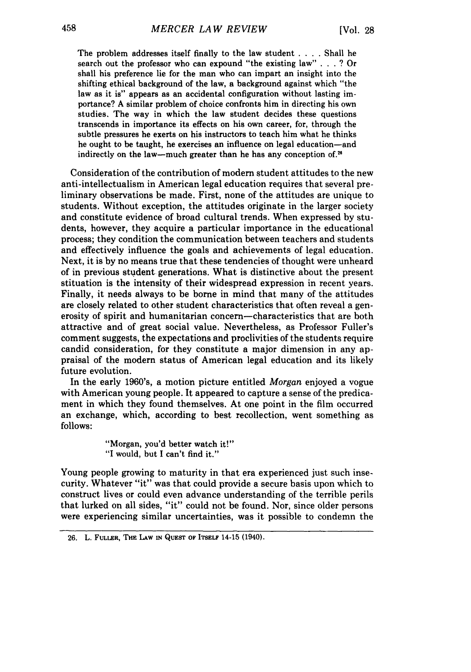The problem addresses itself finally to the law student **....** Shall he search out the professor who can expound "the existing law" **. . .** ? Or shall his preference lie for the man who can impart an insight into the shifting ethical background of the law, a background against which "the law as it is" appears as an accidental configuration without lasting importance? **A** similar problem of choice confronts him in directing his own studies. The way in which the law student decides these questions transcends in importance its effects on his own career, for, through the subtle pressures he exerts on his instructors to teach him what he thinks he ought to be taught, he exercises an influence on legal education-and indirectly on the law—much greater than he has any conception of.<sup>26</sup>

Consideration of the contribution of modem student attitudes to the new anti-intellectualism in American legal education requires that several preliminary observations be made. First, none of the attitudes are unique to students. Without exception, the attitudes originate in the larger society and constitute evidence of broad cultural trends. When expressed **by** students, however, they acquire a particular importance in the educational process; they condition the communication between teachers and students and effectively influence the goals and achievements of legal education. Next, it is **by** no means true that these tendencies of thought were unheard of in previous student generations. What is distinctive about the present stituation is the intensity of their widespread expression in recent years. Finally, it needs always to be borne in mind that many of the attitudes are closely related to other student characteristics that often reveal a generosity of spirit and humanitarian concern-characteristics that are both attractive and of great social value. Nevertheless, as Professor Fuller's comment suggests, the expectations and proclivities of the students require candid consideration, for they constitute a major dimension in any appraisal of the modern status of American legal education and its likely future evolution.

In the early 1960's, a motion picture entitled *Morgan* enjoyed a vogue with American young people. It appeared to capture a sense of the predicament in which they found themselves. At one point in the film occurred an exchange, which, according to best recollection, went something as follows:

> "Morgan, you'd better watch it!" **"I** would, but I can't find it."

Young people growing to maturity in that era experienced just such insecurity. Whatever "it" was that could provide a secure basis upon which to construct lives or could even advance understanding of the terrible perils that lurked on all sides, "it" could not be found. Nor, since older persons were experiencing similar uncertainties, was it possible to condemn the

**<sup>26.</sup>** L. **FULLER, THE LAW IN QUEST** OF **ITSELF** 14-15 (1940).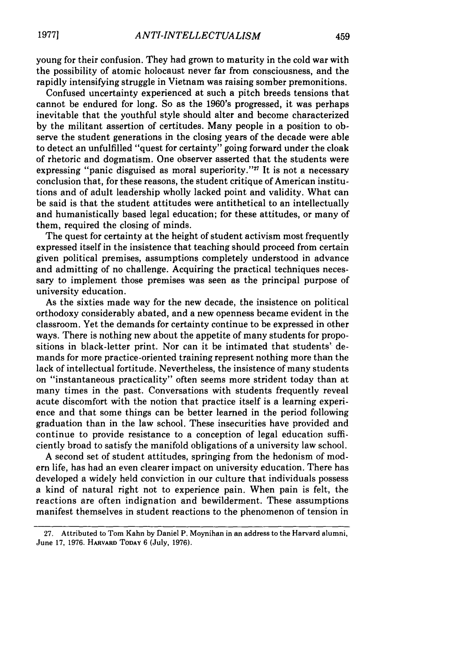young for their confusion. They had grown to maturity in the cold war with the possibility of atomic holocaust never far from consciousness, and the rapidly intensifying struggle in Vietnam was raising somber premonitions.

Confused uncertainty experienced at such a pitch breeds tensions that cannot be endured for long. So as the 1960's progressed, it was perhaps inevitable that the youthful style should alter and become characterized by the militant assertion of certitudes. Many people in a position to observe the student generations in the closing years of the decade were able to detect an unfulfilled "quest for certainty" going forward under the cloak of rhetoric and dogmatism. One observer asserted that the students were expressing "panic disguised as moral superiority."<sup>27</sup> It is not a necessary conclusion that, for these reasons, the student critique of American institutions and of adult leadership wholly lacked point and validity. What can be said is that the student attitudes were antithetical to an intellectually and humanistically based legal education; for these attitudes, or many of them, required the closing of minds.

The quest for certainty at the height of student activism most frequently expressed itself in the insistence that teaching should proceed from certain given political premises, assumptions completely understood in advance and admitting of no challenge. Acquiring the practical techniques necessary to implement those premises was seen as the principal purpose of university education.

As the sixties made way for the new decade, the insistence on political orthodoxy considerably abated, and a new openness became evident in the classroom. Yet the demands for certainty continue to be expressed in other ways. There is nothing new about the appetite of many students for propositions in black-letter print. Nor can it be intimated that students' demands for more practice-oriented training represent nothing more than the lack of intellectual fortitude. Nevertheless, the insistence of many students on "instantaneous practicality" often seems more strident today than at many times in the past. Conversations with students frequently reveal acute discomfort with the notion that practice itself is a learning experience and that some things can be better learned in the period following graduation than in the law school. These insecurities have provided and continue to provide resistance to a conception of legal education sufficiently broad to satisfy the manifold obligations of a university law school.

A second set of student attitudes, springing from the hedonism of modem life, has had an even clearer impact on university education. There has developed a widely held conviction in our culture that individuals possess a kind of natural right not to experience pain. When pain is felt, the reactions are often indignation and bewilderment. These assumptions manifest themselves in student reactions to the phenomenon of tension in

<sup>27.</sup> Attributed to Tom Kahn **by** Daniel P. Moynihan in an address to the Harvard alumni, June 17, 1976. **HARVARD TODAY** 6 (July, 1976).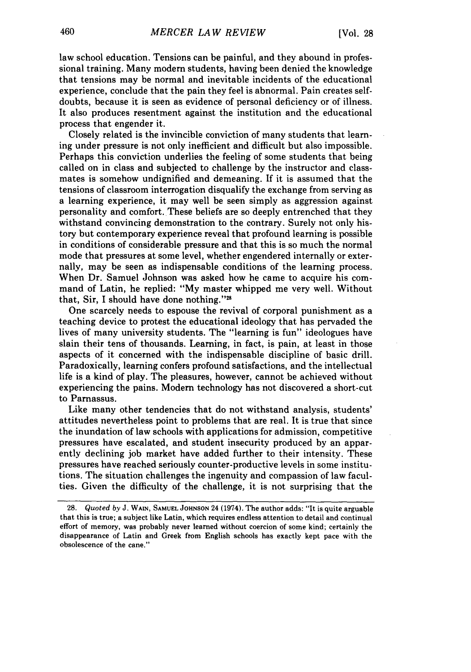law school education. Tensions can be painful, and they abound in professional training. Many modern students, having been denied the knowledge that tensions may be normal and inevitable incidents of the educational experience, conclude that the pain they feel is abnormal. Pain creates selfdoubts, because it is seen as evidence of personal deficiency or of illness. It also produces resentment against the institution and the educational process that engender it.

Closely related is the invincible conviction of many students that learning under pressure is not only inefficient and difficult but also impossible. Perhaps this conviction underlies the feeling of some students that being called on in class and subjected to challenge by the instructor and classmates is somehow undignified and demeaning. If it is assumed that the tensions of classroom interrogation disqualify the exchange from serving as a learning experience, it may well be seen simply as aggression against personality and comfort. These beliefs are so deeply entrenched that they withstand convincing demonstration to the contrary. Surely not only history but contemporary experience reveal that profound learning is possible in conditions of considerable pressure and that this is so much the normal mode that pressures at some level, whether engendered internally or externally, may be seen as indispensable conditions of the learning process. When Dr. Samuel Johnson was asked how he came to acquire his command of Latin, he replied: "My master whipped me very well. Without that, Sir, I should have done nothing."

One scarcely needs to espouse the revival of corporal punishment as a teaching device to protest the educational ideology that has pervaded the lives **of** many university students. The "learning is fun" ideologues have slain their tens of thousands. Learning, in fact, is pain, at least in those aspects of it concerned with the indispensable discipline of basic drill. Paradoxically, learning confers profound satisfactions, and the intellectual life is a kind of play. The pleasures, however, cannot be achieved without experiencing the pains. Modern technology has not discovered a short-cut to Parnassus.

Like many other tendencies that do not withstand analysis, students' attitudes nevertheless point to problems that are real. It is true that since the inundation of law schools with applications for admission, competitive pressures have escalated, and student insecurity produced by an apparently declining job market have added further to their intensity. These pressures have reached seriously counter-productive levels in some institutions. The situation challenges the ingenuity and compassion of law faculties. Given the difficulty of the challenge, it is not surprising that the

**<sup>28.</sup>** Quoted by J. **WAIN, SAMUEL JOHNSON** 24 (1974). The author adds: "It is quite arguable that this is true; a subject like Latin, which requires endless attention to detail and continual effort of memory, was probably never learned without coercion of some kind; certainly the disappearance of Latin and Greek from English schools has exactly kept pace with the obsolescence of the cane."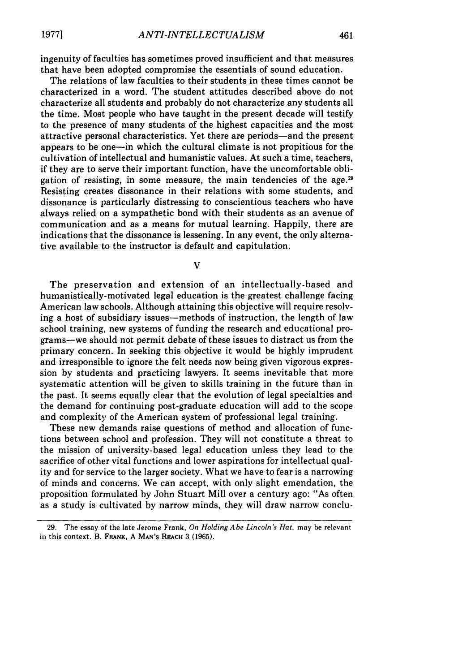ingenuity of faculties has sometimes proved insufficient and that measures that have been adopted compromise the essentials of sound education.

The relations of law faculties to their students in these times cannot be characterized in a word. The student attitudes described above do not characterize all students and probably do not characterize any students all the time. Most people who have taught in the present decade will testify to the presence of many students of the highest capacities and the most attractive personal characteristics. Yet there are periods-and the present appears to be one-in which the cultural climate is not propitious for the cultivation of intellectual and humanistic values. At such a time, teachers, if they are to serve their important function, have the uncomfortable obligation of resisting, in some measure, the main tendencies of the age.<sup>29</sup> Resisting creates dissonance in their relations with some students, and dissonance is particularly distressing to conscientious teachers who have always relied on a sympathetic bond with their students as an avenue of communication and as a means for mutual learning. Happily, there are indications that the dissonance is lessening. In any event, the only alternative available to the instructor is default and capitulation.

V

The preservation and extension of an intellectually-based and humanistically-motivated legal education is the greatest challenge facing American law schools. Although attaining this objective will require resolving a host of subsidiary issues—methods of instruction, the length of law school training, new systems of funding the research and educational programs-we should not permit debate of these issues to distract us from the primary concern. In seeking this objective it would be highly imprudent and irresponsible to ignore the felt needs now being given vigorous expression by students and practicing lawyers. It seems inevitable that more systematic attention will be given to skills training in the future than in the past. It seems equally clear that the evolution of legal specialties and the demand for continuing post-graduate education will add to the scope and complexity of the American system of professional legal training.

These new demands raise questions of method and allocation of functions between school and profession. They will not constitute a threat to the mission of university-based legal education unless they lead to the sacrifice of other vital functions and lower aspirations for intellectual quality and for service to the larger society. What we have to fear is a narrowing of minds and concerns. We can accept, with only slight emendation, the proposition formulated by John Stuart Mill over a century ago: "As often as a study is cultivated by narrow minds, they will draw narrow conclu-

**<sup>29.</sup>** The essay of the late Jerome Frank, *On Holding Abe Lincoln's Hat,* may be relevant in this context. B. **FRANK,** A MAN'S REACH 3 (1965).